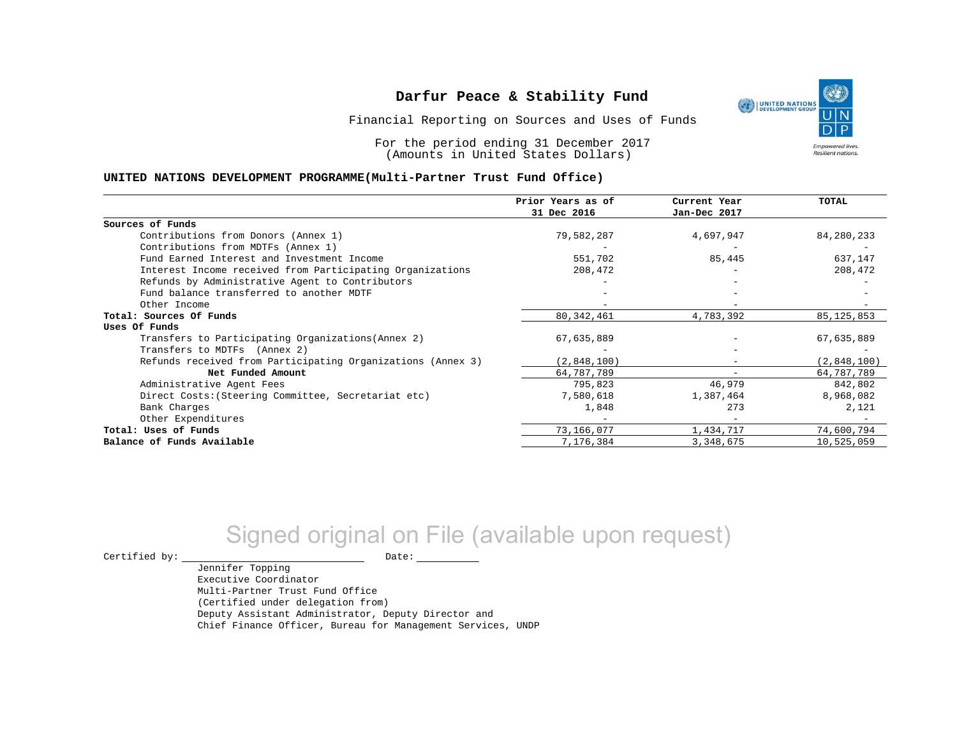Financial Reporting on Sources and Uses of Funds

For the period ending 31 December 2017 (Amounts in United States Dollars)

#### **UNITED NATIONS DEVELOPMENT PROGRAMME(Multi-Partner Trust Fund Office)**

|                                                             | Prior Years as of | Current Year | <b>TOTAL</b> |
|-------------------------------------------------------------|-------------------|--------------|--------------|
|                                                             | 31 Dec 2016       | Jan-Dec 2017 |              |
| Sources of Funds                                            |                   |              |              |
| Contributions from Donors (Annex 1)                         | 79,582,287        | 4,697,947    | 84,280,233   |
| Contributions from MDTFs (Annex 1)                          |                   |              |              |
| Fund Earned Interest and Investment Income                  | 551,702           | 85,445       | 637,147      |
| Interest Income received from Participating Organizations   | 208,472           |              | 208,472      |
| Refunds by Administrative Agent to Contributors             |                   |              |              |
| Fund balance transferred to another MDTF                    |                   |              |              |
| Other Income                                                |                   |              |              |
| Total: Sources Of Funds                                     | 80, 342, 461      | 4,783,392    | 85, 125, 853 |
| Uses Of Funds                                               |                   |              |              |
| Transfers to Participating Organizations (Annex 2)          | 67,635,889        |              | 67,635,889   |
| Transfers to MDTFs (Annex 2)                                |                   |              |              |
| Refunds received from Participating Organizations (Annex 3) | (2,848,100)       | -            | (2,848,100)  |
| Net Funded Amount                                           | 64,787,789        |              | 64,787,789   |
| Administrative Agent Fees                                   | 795,823           | 46,979       | 842,802      |
| Direct Costs: (Steering Committee, Secretariat etc)         | 7,580,618         | 1,387,464    | 8,968,082    |
| Bank Charges                                                | 1,848             | 273          | 2,121        |
| Other Expenditures                                          |                   |              |              |
| Total: Uses of Funds                                        | 73,166,077        | 1,434,717    | 74,600,794   |
| Balance of Funds Available                                  | 7,176,384         | 3,348,675    | 10,525,059   |

# Signed original on File (available upon request)

 $\begin{picture}(180,180)(0,0) \put(0,0){\vector(1,0){180}} \put(15,0){\vector(1,0){180}} \put(15,0){\vector(1,0){180}} \put(15,0){\vector(1,0){180}} \put(15,0){\vector(1,0){180}} \put(15,0){\vector(1,0){180}} \put(15,0){\vector(1,0){180}} \put(15,0){\vector(1,0){180}} \put(15,0){\vector(1,0){180}} \put(15,0){\vector(1,0){180}} \put(15,0){\vector(1,0$ 

Jennifer Topping Executive Coordinator Multi-Partner Trust Fund Office (Certified under delegation from) Deputy Assistant Administrator, Deputy Director and Chief Finance Officer, Bureau for Management Services, UNDP

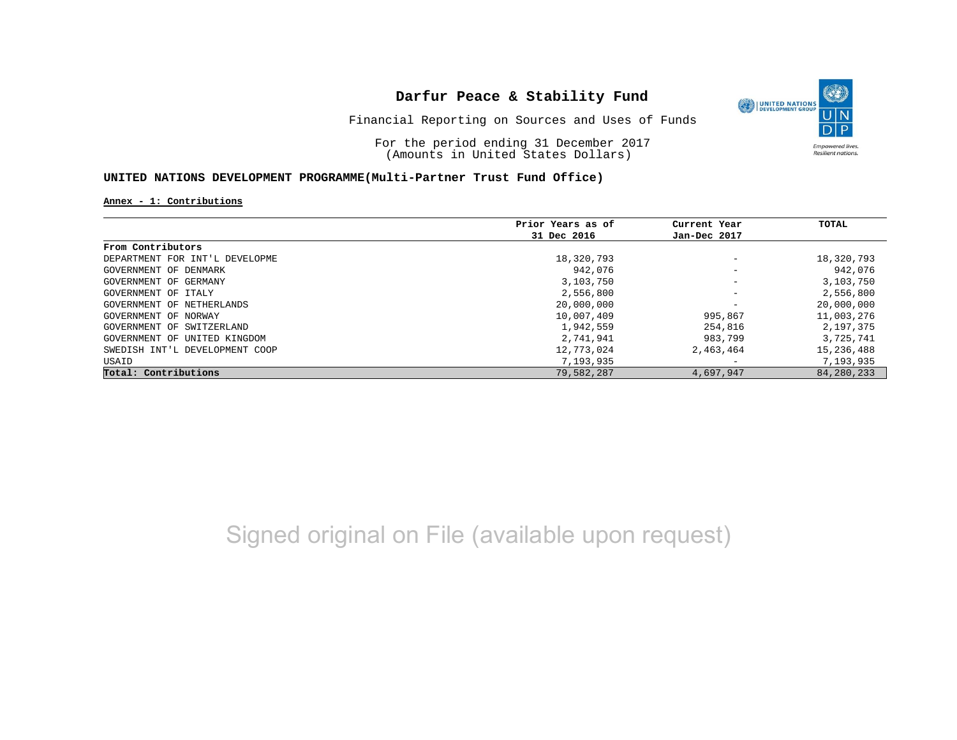

Financial Reporting on Sources and Uses of Funds

For the period ending 31 December 2017 (Amounts in United States Dollars)

### **UNITED NATIONS DEVELOPMENT PROGRAMME(Multi-Partner Trust Fund Office)**

**Annex - 1: Contributions**

|                                | Prior Years as of | Current Year             | TOTAL        |
|--------------------------------|-------------------|--------------------------|--------------|
|                                | 31 Dec 2016       | Jan-Dec 2017             |              |
| From Contributors              |                   |                          |              |
| DEPARTMENT FOR INT'L DEVELOPME | 18,320,793        | $\overline{\phantom{m}}$ | 18,320,793   |
| GOVERNMENT OF DENMARK          | 942,076           | $\overline{\phantom{m}}$ | 942,076      |
| GOVERNMENT OF GERMANY          | 3,103,750         | $\overline{\phantom{m}}$ | 3,103,750    |
| GOVERNMENT OF ITALY            | 2,556,800         | $\overline{\phantom{m}}$ | 2,556,800    |
| GOVERNMENT OF NETHERLANDS      | 20,000,000        | $\overline{\phantom{m}}$ | 20,000,000   |
| GOVERNMENT OF NORWAY           | 10,007,409        | 995,867                  | 11,003,276   |
| GOVERNMENT OF SWITZERLAND      | 1,942,559         | 254,816                  | 2,197,375    |
| GOVERNMENT OF UNITED KINGDOM   | 2,741,941         | 983,799                  | 3,725,741    |
| SWEDISH INT'L DEVELOPMENT COOP | 12,773,024        | 2,463,464                | 15,236,488   |
| USAID                          | 7,193,935         | $\overline{\phantom{m}}$ | 7,193,935    |
| Total: Contributions           | 79,582,287        | 4,697,947                | 84, 280, 233 |

Signed original on File (available upon request)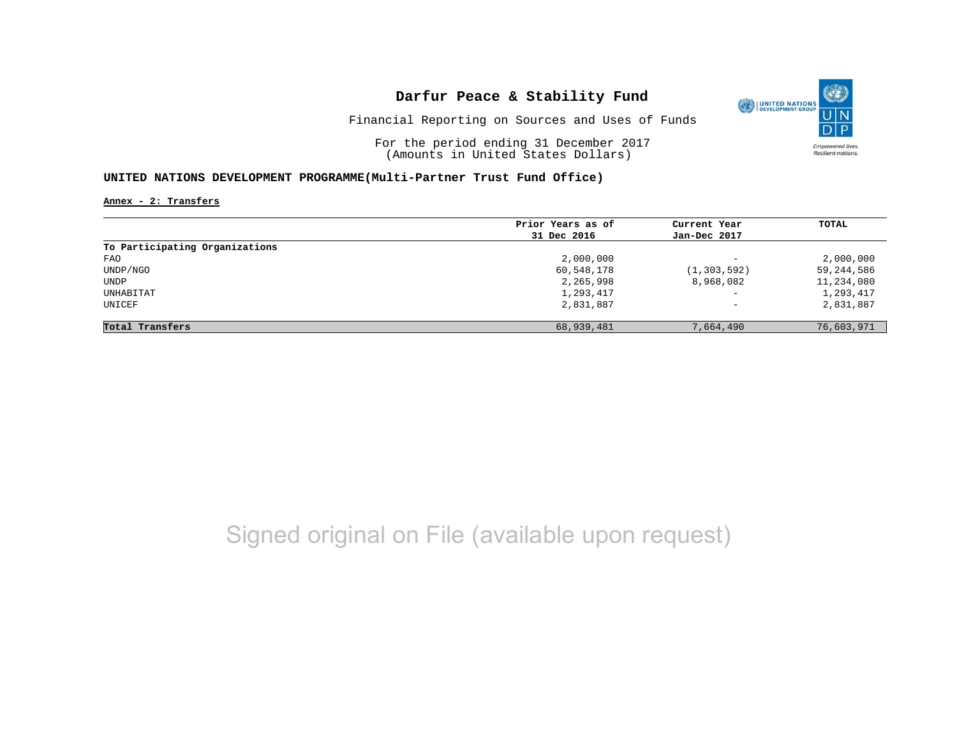

Financial Reporting on Sources and Uses of Funds

For the period ending 31 December 2017 (Amounts in United States Dollars)

### **UNITED NATIONS DEVELOPMENT PROGRAMME(Multi-Partner Trust Fund Office)**

**Annex - 2: Transfers**

|                                | Prior Years as of | Current Year             | TOTAL      |
|--------------------------------|-------------------|--------------------------|------------|
|                                |                   |                          |            |
|                                | 31 Dec 2016       | Jan-Dec 2017             |            |
| To Participating Organizations |                   |                          |            |
| FAO                            | 2,000,000         | $\overline{\phantom{m}}$ | 2,000,000  |
| UNDP/NGO                       | 60,548,178        | (1, 303, 592)            | 59,244,586 |
| UNDP                           | 2,265,998         | 8,968,082                | 11,234,080 |
| UNHABITAT                      | 1,293,417         | $\qquad \qquad -$        | 1,293,417  |
| UNICEF                         | 2,831,887         | $\qquad \qquad -$        | 2,831,887  |
| Total Transfers                | 68,939,481        | 7,664,490                | 76,603,971 |

# Signed original on File (available upon request)